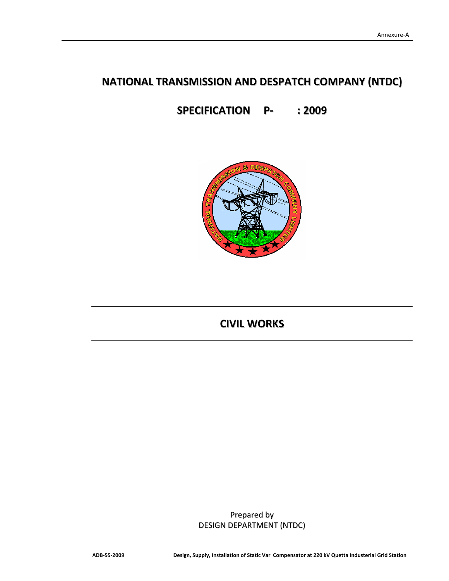# **NATIONAL TRANSMISSION AND DESPATCH COMPANY (NTDC)**

**SPECIFICATION P‐ : 2009**



# **CIVIL WORKS**

Prepared by DESIGN DEPARTMENT (NTDC)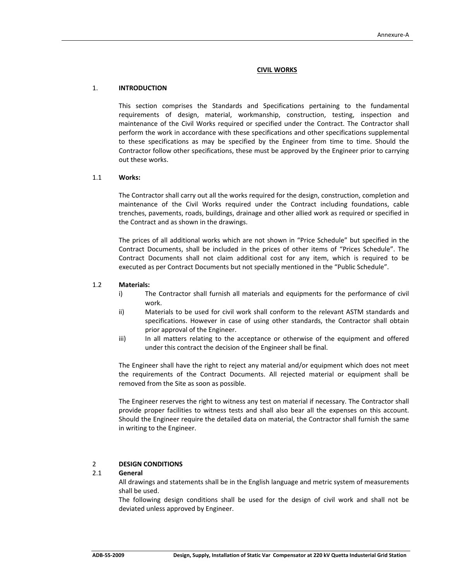## **CIVIL WORKS**

#### 1. **INTRODUCTION**

 This section comprises the Standards and Specifications pertaining to the fundamental requirements of design, material, workmanship, construction, testing, inspection and maintenance of the Civil Works required or specified under the Contract. The Contractor shall perform the work in accordance with these specifications and other specifications supplemental to these specifications as may be specified by the Engineer from time to time. Should the Contractor follow other specifications, these must be approved by the Engineer prior to carrying out these works.

#### 1.1 **Works:**

The Contractor shall carry out all the works required for the design, construction, completion and maintenance of the Civil Works required under the Contract including foundations, cable trenches, pavements, roads, buildings, drainage and other allied work as required or specified in the Contract and as shown in the drawings.

The prices of all additional works which are not shown in "Price Schedule" but specified in the Contract Documents, shall be included in the prices of other items of "Prices Schedule". The Contract Documents shall not claim additional cost for any item, which is required to be executed as per Contract Documents but not specially mentioned in the "Public Schedule".

#### 1.2 **Materials:**

- i) The Contractor shall furnish all materials and equipments for the performance of civil work.
- ii) Materials to be used for civil work shall conform to the relevant ASTM standards and specifications. However in case of using other standards, the Contractor shall obtain prior approval of the Engineer.
- iii) In all matters relating to the acceptance or otherwise of the equipment and offered under this contract the decision of the Engineer shall be final.

The Engineer shall have the right to reject any material and/or equipment which does not meet the requirements of the Contract Documents. All rejected material or equipment shall be removed from the Site as soon as possible.

The Engineer reserves the right to witness any test on material if necessary. The Contractor shall provide proper facilities to witness tests and shall also bear all the expenses on this account. Should the Engineer require the detailed data on material, the Contractor shall furnish the same in writing to the Engineer.

#### 2 **DESIGN CONDITIONS**

## 2.1 **General**

All drawings and statements shall be in the English language and metric system of measurements shall be used.

The following design conditions shall be used for the design of civil work and shall not be deviated unless approved by Engineer.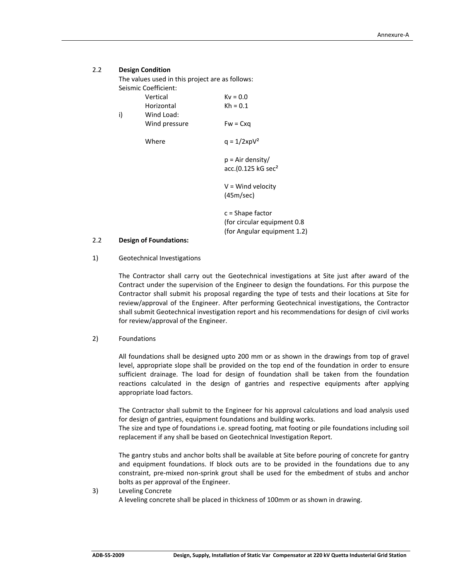## 2.2 **Design Condition**

The values used in this project are as follows: Seismic Coefficient:

 $Vertical$   $Kv = 0.0$  $Horizontal$   $Kh = 0.1$ i) Wind Load: Wind pressure  $Fw = Cxq$ Where  $q = 1/2xpV^2$ p = Air density/

> $V =$  Wind velocity (45m/sec)

acc. $(0.125 \text{ kG sec}^2)$ 

 c = Shape factor (for circular equipment 0.8 (for Angular equipment 1.2)

#### 2.2 **Design of Foundations:**

1) Geotechnical Investigations

The Contractor shall carry out the Geotechnical investigations at Site just after award of the Contract under the supervision of the Engineer to design the foundations. For this purpose the Contractor shall submit his proposal regarding the type of tests and their locations at Site for review/approval of the Engineer. After performing Geotechnical investigations, the Contractor shall submit Geotechnical investigation report and his recommendations for design of civil works for review/approval of the Engineer.

#### 2) Foundations

All foundations shall be designed upto 200 mm or as shown in the drawings from top of gravel level, appropriate slope shall be provided on the top end of the foundation in order to ensure sufficient drainage. The load for design of foundation shall be taken from the foundation reactions calculated in the design of gantries and respective equipments after applying appropriate load factors.

The Contractor shall submit to the Engineer for his approval calculations and load analysis used for design of gantries, equipment foundations and building works.

The size and type of foundations i.e. spread footing, mat footing or pile foundations including soil replacement if any shall be based on Geotechnical Investigation Report.

The gantry stubs and anchor bolts shall be available at Site before pouring of concrete for gantry and equipment foundations. If block outs are to be provided in the foundations due to any constraint, pre‐mixed non‐sprink grout shall be used for the embedment of stubs and anchor bolts as per approval of the Engineer.

#### 3) Leveling Concrete

A leveling concrete shall be placed in thickness of 100mm or as shown in drawing.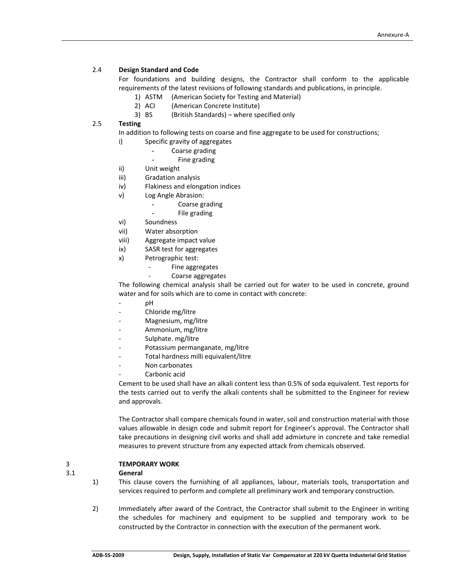## 2.4 **Design Standard and Code**

For foundations and building designs, the Contractor shall conform to the applicable requirements of the latest revisions of following standards and publications, in principle.

- 1) ASTM (American Society for Testing and Material)
- 2) ACI (American Concrete Institute)
- 3) BS (British Standards) where specified only

## 2.5 **Testing**

In addition to following tests on coarse and fine aggregate to be used for constructions;

- i) Specific gravity of aggregates
	- Coarse grading
	- Fine grading
- ii) Unit weight
- iii) Gradation analysis
- iv) Flakiness and elongation indices
- v) Log Angle Abrasion:
	- Coarse grading
	- File grading
- vi) Soundness
- vii) Water absorption
- viii) Aggregate impact value
- ix) SASR test for aggregates
- x) Petrographic test:
	- ‐ Fine aggregates
		- ‐ Coarse aggregates

The following chemical analysis shall be carried out for water to be used in concrete, ground water and for soils which are to come in contact with concrete:

- e de la persona de la persona de la persona de la persona de la persona de la persona de la persona de la persona de la persona de la persona de la persona de la persona de la persona de la persona de la persona de la pers
	- ‐ Chloride mg/litre
	- ‐ Magnesium, mg/litre
	- ‐ Ammonium, mg/litre
	- Sulphate. mg/litre
	- ‐ Potassium permanganate, mg/litre
	- ‐ Total hardness milli equivalent/litre
	- ‐ Non carbonates
	- Carbonic acid

Cement to be used shall have an alkali content less than 0.5% of soda equivalent. Test reports for the tests carried out to verify the alkali contents shall be submitted to the Engineer for review and approvals.

The Contractor shall compare chemicals found in water, soil and construction material with those values allowable in design code and submit report for Engineer's approval. The Contractor shall take precautions in designing civil works and shall add admixture in concrete and take remedial measures to prevent structure from any expected attack from chemicals observed.

## 3 **TEMPORARY WORK**

## 3.1 **General**

- 1) This clause covers the furnishing of all appliances, labour, materials tools, transportation and services required to perform and complete all preliminary work and temporary construction.
- 2) Immediately after award of the Contract, the Contractor shall submit to the Engineer in writing the schedules for machinery and equipment to be supplied and temporary work to be constructed by the Contractor in connection with the execution of the permanent work.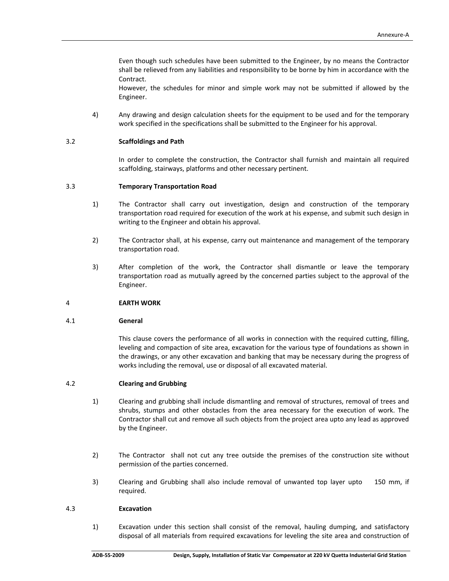Even though such schedules have been submitted to the Engineer, by no means the Contractor shall be relieved from any liabilities and responsibility to be borne by him in accordance with the Contract.

However, the schedules for minor and simple work may not be submitted if allowed by the Engineer.

4) Any drawing and design calculation sheets for the equipment to be used and for the temporary work specified in the specifications shall be submitted to the Engineer for his approval.

## 3.2 **Scaffoldings and Path**

In order to complete the construction, the Contractor shall furnish and maintain all required scaffolding, stairways, platforms and other necessary pertinent.

## 3.3 **Temporary Transportation Road**

- 1) The Contractor shall carry out investigation, design and construction of the temporary transportation road required for execution of the work at his expense, and submit such design in writing to the Engineer and obtain his approval.
- 2) The Contractor shall, at his expense, carry out maintenance and management of the temporary transportation road.
- 3) After completion of the work, the Contractor shall dismantle or leave the temporary transportation road as mutually agreed by the concerned parties subject to the approval of the Engineer.

#### 4 **EARTH WORK**

#### 4.1 **General**

This clause covers the performance of all works in connection with the required cutting, filling, leveling and compaction of site area, excavation for the various type of foundations as shown in the drawings, or any other excavation and banking that may be necessary during the progress of works including the removal, use or disposal of all excavated material.

#### 4.2 **Clearing and Grubbing**

- 1) Clearing and grubbing shall include dismantling and removal of structures, removal of trees and shrubs, stumps and other obstacles from the area necessary for the execution of work. The Contractor shall cut and remove all such objects from the project area upto any lead as approved by the Engineer.
- 2) The Contractor shall not cut any tree outside the premises of the construction site without permission of the parties concerned.
- 3) Clearing and Grubbing shall also include removal of unwanted top layer upto 150 mm, if required.

#### 4.3 **Excavation**

1) Excavation under this section shall consist of the removal, hauling dumping, and satisfactory disposal of all materials from required excavations for leveling the site area and construction of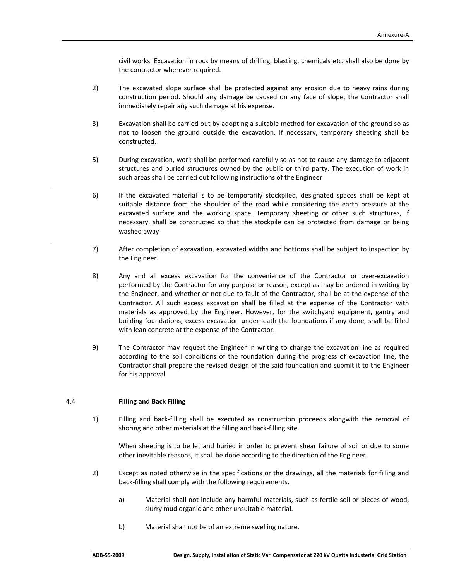civil works. Excavation in rock by means of drilling, blasting, chemicals etc. shall also be done by the contractor wherever required.

- 2) The excavated slope surface shall be protected against any erosion due to heavy rains during construction period. Should any damage be caused on any face of slope, the Contractor shall immediately repair any such damage at his expense.
- 3) Excavation shall be carried out by adopting a suitable method for excavation of the ground so as not to loosen the ground outside the excavation. If necessary, temporary sheeting shall be constructed.
- 5) During excavation, work shall be performed carefully so as not to cause any damage to adjacent structures and buried structures owned by the public or third party. The execution of work in such areas shall be carried out following instructions of the Engineer
- 6) If the excavated material is to be temporarily stockpiled, designated spaces shall be kept at suitable distance from the shoulder of the road while considering the earth pressure at the excavated surface and the working space. Temporary sheeting or other such structures, if necessary, shall be constructed so that the stockpile can be protected from damage or being washed away
- 7) After completion of excavation, excavated widths and bottoms shall be subject to inspection by the Engineer.
- 8) Any and all excess excavation for the convenience of the Contractor or over‐excavation performed by the Contractor for any purpose or reason, except as may be ordered in writing by the Engineer, and whether or not due to fault of the Contractor, shall be at the expense of the Contractor. All such excess excavation shall be filled at the expense of the Contractor with materials as approved by the Engineer. However, for the switchyard equipment, gantry and building foundations, excess excavation underneath the foundations if any done, shall be filled with lean concrete at the expense of the Contractor.
- 9) The Contractor may request the Engineer in writing to change the excavation line as required according to the soil conditions of the foundation during the progress of excavation line, the Contractor shall prepare the revised design of the said foundation and submit it to the Engineer for his approval.

## 4.4 **Filling and Back Filling**

1) Filling and back‐filling shall be executed as construction proceeds alongwith the removal of shoring and other materials at the filling and back‐filling site.

When sheeting is to be let and buried in order to prevent shear failure of soil or due to some other inevitable reasons, it shall be done according to the direction of the Engineer.

- 2) Except as noted otherwise in the specifications or the drawings, all the materials for filling and back‐filling shall comply with the following requirements.
	- a) Material shall not include any harmful materials, such as fertile soil or pieces of wood, slurry mud organic and other unsuitable material.
	- b) Material shall not be of an extreme swelling nature.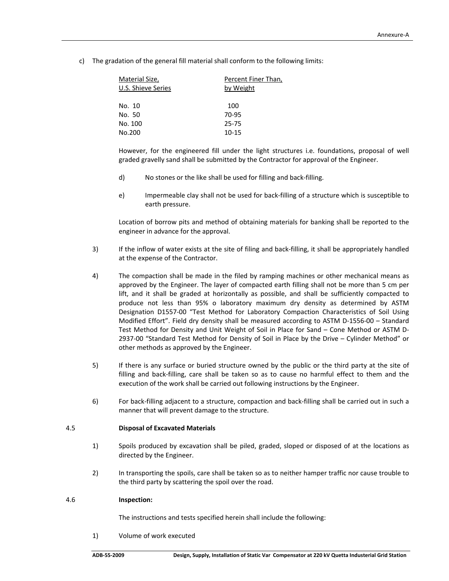c) The gradation of the general fill material shall conform to the following limits:

| Material Size,<br>U.S. Shieve Series | Percent Finer Than,<br>by Weight |
|--------------------------------------|----------------------------------|
| No. 10                               | 100                              |
| No. 50                               | 70-95                            |
| No. 100                              | 25-75                            |
| No.200                               | $10 - 15$                        |
|                                      |                                  |

However, for the engineered fill under the light structures i.e. foundations, proposal of well graded gravelly sand shall be submitted by the Contractor for approval of the Engineer.

- d) No stones or the like shall be used for filling and back‐filling.
- e) Impermeable clay shall not be used for back‐filling of a structure which is susceptible to earth pressure.

Location of borrow pits and method of obtaining materials for banking shall be reported to the engineer in advance for the approval.

- 3) If the inflow of water exists at the site of filing and back‐filling, it shall be appropriately handled at the expense of the Contractor.
- 4) The compaction shall be made in the filed by ramping machines or other mechanical means as approved by the Engineer. The layer of compacted earth filling shall not be more than 5 cm per lift, and it shall be graded at horizontally as possible, and shall be sufficiently compacted to produce not less than 95% o laboratory maximum dry density as determined by ASTM Designation D1557‐00 "Test Method for Laboratory Compaction Characteristics of Soil Using Modified Effort". Field dry density shall be measured according to ASTM D‐1556‐00 – Standard Test Method for Density and Unit Weight of Soil in Place for Sand – Cone Method or ASTM D‐ 2937-00 "Standard Test Method for Density of Soil in Place by the Drive – Cylinder Method" or other methods as approved by the Engineer.
- 5) If there is any surface or buried structure owned by the public or the third party at the site of filling and back-filling, care shall be taken so as to cause no harmful effect to them and the execution of the work shall be carried out following instructions by the Engineer.
- 6) For back‐filling adjacent to a structure, compaction and back‐filling shall be carried out in such a manner that will prevent damage to the structure.

## 4.5 **Disposal of Excavated Materials**

- 1) Spoils produced by excavation shall be piled, graded, sloped or disposed of at the locations as directed by the Engineer.
- 2) In transporting the spoils, care shall be taken so as to neither hamper traffic nor cause trouble to the third party by scattering the spoil over the road.

## 4.6 **Inspection:**

The instructions and tests specified herein shall include the following:

1) Volume of work executed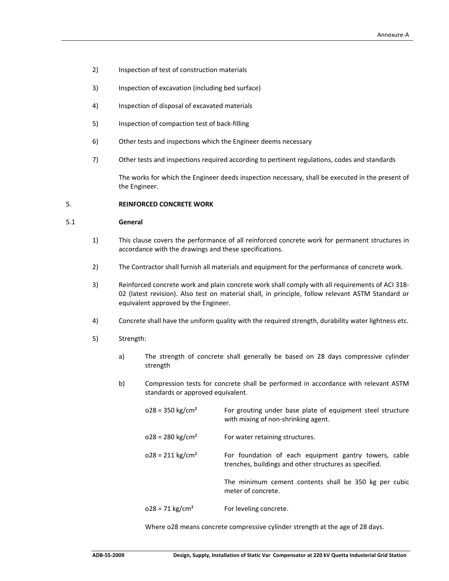- 2) Inspection of test of construction materials
- 3) Inspection of excavation (including bed surface)
- 4) Inspection of disposal of excavated materials
- 5) Inspection of compaction test of back-filling
- 6) Other tests and inspections which the Engineer deems necessary
- 7) Other tests and inspections required according to pertinent regulations, codes and standards

The works for which the Engineer deeds inspection necessary, shall be executed in the present of the Engineer.

## 5. **REINFORCED CONCRETE WORK**

#### 5.1 **General**

- 1) This clause covers the performance of all reinforced concrete work for permanent structures in accordance with the drawings and these specifications.
- 2) The Contractor shall furnish all materials and equipment for the performance of concrete work.
- 3) Reinforced concrete work and plain concrete work shall comply with all requirements of ACI 318‐ 02 (latest revision). Also test on material shall, in principle, follow relevant ASTM Standard or equivalent approved by the Engineer.
- 4) Concrete shall have the uniform quality with the required strength, durability water lightness etc.
- 5) Strength:
	- a) The strength of concrete shall generally be based on 28 days compressive cylinder strength
	- b) Compression tests for concrete shall be performed in accordance with relevant ASTM standards or approved equivalent.
		- $o28 = 350$  kg/cm<sup>2</sup> For grouting under base plate of equipment steel structure with mixing of non-shrinking agent.
		- $o28 = 280 \text{ kg/cm}^2$  For water retaining structures.
		- $0.028 = 211 \text{ kg/cm}^2$  For foundation of each equipment gantry towers, cable trenches, buildings and other structures as specified.

The minimum cement contents shall be 350 kg per cubic meter of concrete.

 $o28 = 71 \text{ kg/cm}^2$  For leveling concrete.

Where o28 means concrete compressive cylinder strength at the age of 28 days.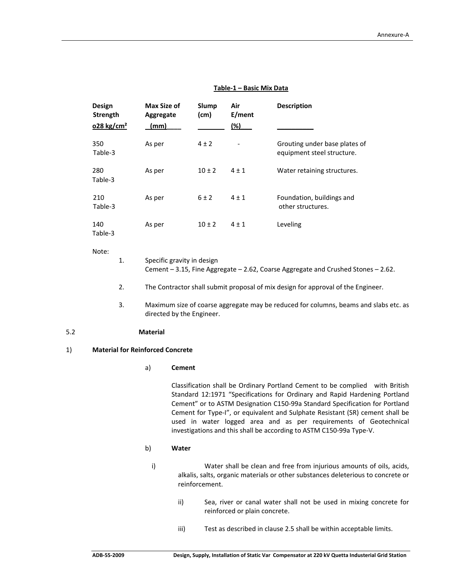## **Table‐1 – Basic Mix Data**

|     | Design<br><b>Strength</b><br>$028$ kg/cm <sup>2</sup> |    | <b>Max Size of</b><br>Aggregate<br>(mm) | Slump<br>(cm) | Air<br>E/ment<br>(%) | <b>Description</b>                                                                   |
|-----|-------------------------------------------------------|----|-----------------------------------------|---------------|----------------------|--------------------------------------------------------------------------------------|
|     | 350<br>Table-3                                        |    | As per                                  | $4 \pm 2$     |                      | Grouting under base plates of<br>equipment steel structure.                          |
|     | 280<br>Table-3                                        |    | As per                                  | $10 \pm 2$    | $4 \pm 1$            | Water retaining structures.                                                          |
|     | 210<br>Table-3                                        |    | As per                                  | $6 \pm 2$     | $4 \pm 1$            | Foundation, buildings and<br>other structures.                                       |
|     | 140<br>Table-3                                        |    | As per                                  | $10 \pm 2$    | $4 \pm 1$            | Leveling                                                                             |
|     | Note:                                                 | 1. | Specific gravity in design              |               |                      | Cement - 3.15, Fine Aggregate - 2.62, Coarse Aggregate and Crushed Stones - 2.62.    |
|     |                                                       | 2. |                                         |               |                      | The Contractor shall submit proposal of mix design for approval of the Engineer.     |
|     |                                                       | 3. | directed by the Engineer.               |               |                      | Maximum size of coarse aggregate may be reduced for columns, beams and slabs etc. as |
| 5.2 |                                                       |    | <b>Material</b>                         |               |                      |                                                                                      |
| 1)  |                                                       |    | <b>Material for Reinforced Concrete</b> |               |                      |                                                                                      |
|     |                                                       |    | a)<br><b>Cement</b>                     |               |                      |                                                                                      |

Classification shall be Ordinary Portland Cement to be complied with British Standard 12:1971 "Specifications for Ordinary and Rapid Hardening Portland Cement" or to ASTM Designation C150‐99a Standard Specification for Portland Cement for Type‐I", or equivalent and Sulphate Resistant (SR) cement shall be used in water logged area and as per requirements of Geotechnical investigations and this shall be according to ASTM C150‐99a Type‐V.

#### b) **Water**

i) Water shall be clean and free from injurious amounts of oils, acids, alkalis, salts, organic materials or other substances deleterious to concrete or reinforcement.

- ii) Sea, river or canal water shall not be used in mixing concrete for reinforced or plain concrete.
- iii) Test as described in clause 2.5 shall be within acceptable limits.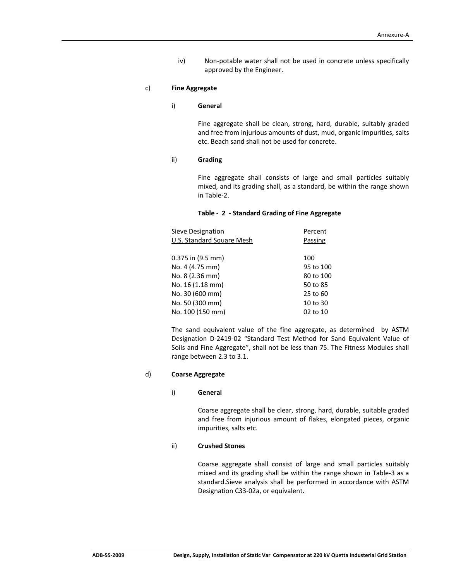iv) Non‐potable water shall not be used in concrete unless specifically approved by the Engineer.

## c) **Fine Aggregate**

## i) **General**

Fine aggregate shall be clean, strong, hard, durable, suitably graded and free from injurious amounts of dust, mud, organic impurities, salts etc. Beach sand shall not be used for concrete.

## ii) **Grading**

Fine aggregate shall consists of large and small particles suitably mixed, and its grading shall, as a standard, be within the range shown in Table‐2.

## **Table ‐ 2 ‐ Standard Grading of Fine Aggregate**

| Sieve Designation         | Percent   |
|---------------------------|-----------|
| U.S. Standard Square Mesh | Passing   |
|                           |           |
| 0.375 in (9.5 mm)         | 100       |
| No. 4 (4.75 mm)           | 95 to 100 |
| No. 8 (2.36 mm)           | 80 to 100 |
| No. 16 (1.18 mm)          | 50 to 85  |
| No. 30 (600 mm)           | 25 to 60  |
| No. 50 (300 mm)           | 10 to 30  |
| No. 100 (150 mm)          | 02 to 10  |

The sand equivalent value of the fine aggregate, as determined by ASTM Designation D‐2419‐02 "Standard Test Method for Sand Equivalent Value of Soils and Fine Aggregate", shall not be less than 75. The Fitness Modules shall range between 2.3 to 3.1.

#### d) **Coarse Aggregate**

#### i) **General**

Coarse aggregate shall be clear, strong, hard, durable, suitable graded and free from injurious amount of flakes, elongated pieces, organic impurities, salts etc.

#### ii) **Crushed Stones**

Coarse aggregate shall consist of large and small particles suitably mixed and its grading shall be within the range shown in Table‐3 as a standard.Sieve analysis shall be performed in accordance with ASTM Designation C33‐02a, or equivalent.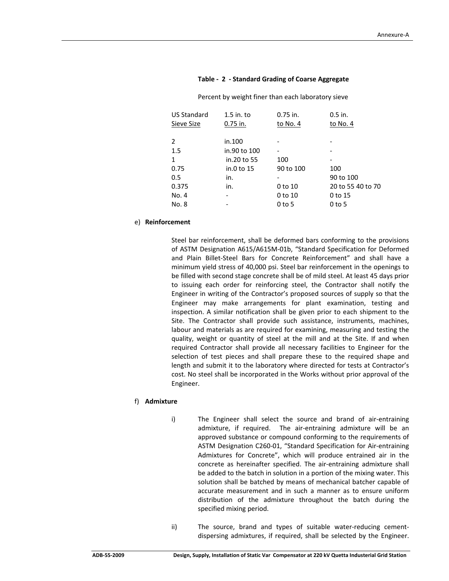| <b>US Standard</b><br>Sieve Size | $1.5$ in. to<br>$0.75$ in. | $0.75$ in.<br>to No. 4   | $0.5$ in.<br>to No. 4 |
|----------------------------------|----------------------------|--------------------------|-----------------------|
| 2                                | in.100                     |                          |                       |
| 1.5                              | in.90 to 100               | $\overline{\phantom{a}}$ |                       |
| 1                                | in.20 to 55                | 100                      |                       |
| 0.75                             | in.0 to 15                 | 90 to 100                | 100                   |
| 0.5                              | in.                        | $\overline{\phantom{a}}$ | 90 to 100             |
| 0.375                            | in.                        | 0 to 10                  | 20 to 55 40 to 70     |
| No. 4                            | $\overline{\phantom{0}}$   | 0 to 10                  | 0 to 15               |
| No. 8                            | -                          | $0$ to 5                 | $0$ to 5              |
|                                  |                            |                          |                       |

**Table ‐ 2 ‐ Standard Grading of Coarse Aggregate**

Percent by weight finer than each laboratory sieve

#### e) **Reinforcement**

Steel bar reinforcement, shall be deformed bars conforming to the provisions of ASTM Designation A615/A615M‐01b, "Standard Specification for Deformed and Plain Billet‐Steel Bars for Concrete Reinforcement" and shall have a minimum yield stress of 40,000 psi. Steel bar reinforcement in the openings to be filled with second stage concrete shall be of mild steel. At least 45 days prior to issuing each order for reinforcing steel, the Contractor shall notify the Engineer in writing of the Contractor's proposed sources of supply so that the Engineer may make arrangements for plant examination, testing and inspection. A similar notification shall be given prior to each shipment to the Site. The Contractor shall provide such assistance, instruments, machines, labour and materials as are required for examining, measuring and testing the quality, weight or quantity of steel at the mill and at the Site. If and when required Contractor shall provide all necessary facilities to Engineer for the selection of test pieces and shall prepare these to the required shape and length and submit it to the laboratory where directed for tests at Contractor's cost. No steel shall be incorporated in the Works without prior approval of the Engineer.

## f) **Admixture**

- i) The Engineer shall select the source and brand of air-entraining admixture, if required. The air-entraining admixture will be an approved substance or compound conforming to the requirements of ASTM Designation C260‐01, "Standard Specification for Air‐entraining Admixtures for Concrete", which will produce entrained air in the concrete as hereinafter specified. The air‐entraining admixture shall be added to the batch in solution in a portion of the mixing water. This solution shall be batched by means of mechanical batcher capable of accurate measurement and in such a manner as to ensure uniform distribution of the admixture throughout the batch during the specified mixing period.
- ii) The source, brand and types of suitable water-reducing cementdispersing admixtures, if required, shall be selected by the Engineer.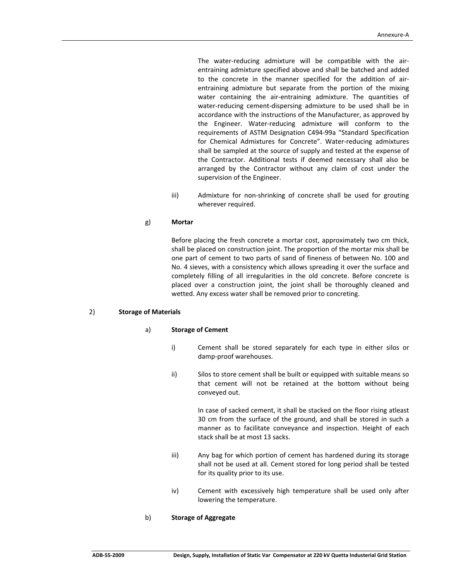The water-reducing admixture will be compatible with the airentraining admixture specified above and shall be batched and added to the concrete in the manner specified for the addition of air‐ entraining admixture but separate from the portion of the mixing water containing the air-entraining admixture. The quantities of water-reducing cement-dispersing admixture to be used shall be in accordance with the instructions of the Manufacturer, as approved by the Engineer. Water‐reducing admixture will conform to the requirements of ASTM Designation C494‐99a "Standard Specification for Chemical Admixtures for Concrete". Water‐reducing admixtures shall be sampled at the source of supply and tested at the expense of the Contractor. Additional tests if deemed necessary shall also be arranged by the Contractor without any claim of cost under the supervision of the Engineer.

iii) Admixture for non‐shrinking of concrete shall be used for grouting wherever required.

## g) **Mortar**

Before placing the fresh concrete a mortar cost, approximately two cm thick, shall be placed on construction joint. The proportion of the mortar mix shall be one part of cement to two parts of sand of fineness of between No. 100 and No. 4 sieves, with a consistency which allows spreading it over the surface and completely filling of all irregularities in the old concrete. Before concrete is placed over a construction joint, the joint shall be thoroughly cleaned and wetted. Any excess water shall be removed prior to concreting.

#### 2) **Storage of Materials**

#### a) **Storage of Cement**

- i) Cement shall be stored separately for each type in either silos or damp‐proof warehouses.
- ii) Silos to store cement shall be built or equipped with suitable means so that cement will not be retained at the bottom without being conveyed out.

In case of sacked cement, it shall be stacked on the floor rising atleast 30 cm from the surface of the ground, and shall be stored in such a manner as to facilitate conveyance and inspection. Height of each stack shall be at most 13 sacks.

- iii) Any bag for which portion of cement has hardened during its storage shall not be used at all. Cement stored for long period shall be tested for its quality prior to its use.
- iv) Cement with excessively high temperature shall be used only after lowering the temperature.

#### b) **Storage of Aggregate**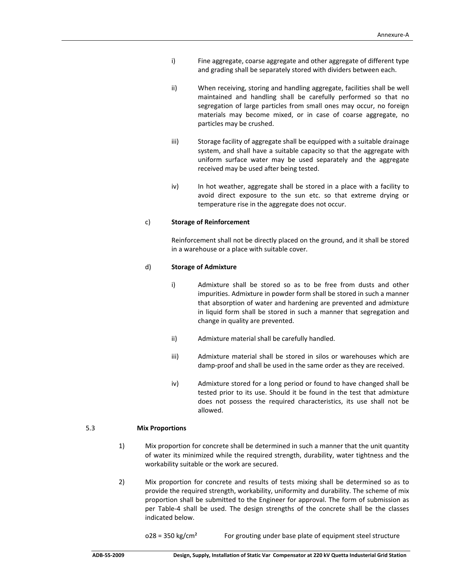- i) Fine aggregate, coarse aggregate and other aggregate of different type and grading shall be separately stored with dividers between each.
- ii) When receiving, storing and handling aggregate, facilities shall be well maintained and handling shall be carefully performed so that no segregation of large particles from small ones may occur, no foreign materials may become mixed, or in case of coarse aggregate, no particles may be crushed.
- iii) Storage facility of aggregate shall be equipped with a suitable drainage system, and shall have a suitable capacity so that the aggregate with uniform surface water may be used separately and the aggregate received may be used after being tested.
- iv) In hot weather, aggregate shall be stored in a place with a facility to avoid direct exposure to the sun etc. so that extreme drying or temperature rise in the aggregate does not occur.

## c) **Storage of Reinforcement**

Reinforcement shall not be directly placed on the ground, and it shall be stored in a warehouse or a place with suitable cover.

#### d) **Storage of Admixture**

- i) Admixture shall be stored so as to be free from dusts and other impurities. Admixture in powder form shall be stored in such a manner that absorption of water and hardening are prevented and admixture in liquid form shall be stored in such a manner that segregation and change in quality are prevented.
- ii) Admixture material shall be carefully handled.
- iii) Admixture material shall be stored in silos or warehouses which are damp‐proof and shall be used in the same order as they are received.
- iv) Admixture stored for a long period or found to have changed shall be tested prior to its use. Should it be found in the test that admixture does not possess the required characteristics, its use shall not be allowed.

#### 5.3  **Mix Proportions**

- 1) Mix proportion for concrete shall be determined in such a manner that the unit quantity of water its minimized while the required strength, durability, water tightness and the workability suitable or the work are secured.
- 2) Mix proportion for concrete and results of tests mixing shall be determined so as to provide the required strength, workability, uniformity and durability. The scheme of mix proportion shall be submitted to the Engineer for approval. The form of submission as per Table‐4 shall be used. The design strengths of the concrete shall be the classes indicated below.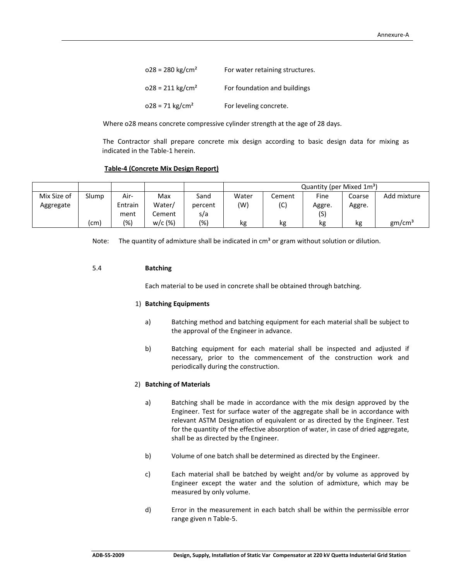| $028 = 280$ kg/cm <sup>2</sup> | For water retaining structures. |
|--------------------------------|---------------------------------|
| $028 = 211 \text{ kg/cm}^2$    | For foundation and buildings    |
| $028 = 71$ kg/cm <sup>2</sup>  | For leveling concrete.          |

Where o28 means concrete compressive cylinder strength at the age of 28 days.

The Contractor shall prepare concrete mix design according to basic design data for mixing as indicated in the Table‐1 herein.

#### **Table‐4 (Concrete Mix Design Report)**

|             |       |         |           |         |       |        | Quantity (per Mixed 1m <sup>3</sup> ) |        |                    |
|-------------|-------|---------|-----------|---------|-------|--------|---------------------------------------|--------|--------------------|
| Mix Size of | Slump | Air-    | Max       | Sand    | Water | Cement | Fine                                  | Coarse | Add mixture        |
| Aggregate   |       | Entrain | Water/    | percent | (W)   | (C)    | Aggre.                                | Aggre. |                    |
|             |       | ment    | Cement    | s/a     |       |        | (S)                                   |        |                    |
|             | (cm)  | (%)     | $w/c$ (%) | (%)     | kg    | kg     | kg                                    | kg     | gm/cm <sup>3</sup> |

Note: The quantity of admixture shall be indicated in  $cm<sup>3</sup>$  or gram without solution or dilution.

## 5.4 **Batching**

Each material to be used in concrete shall be obtained through batching.

#### 1) **Batching Equipments**

- a) Batching method and batching equipment for each material shall be subject to the approval of the Engineer in advance.
- b) Batching equipment for each material shall be inspected and adjusted if necessary, prior to the commencement of the construction work and periodically during the construction.

#### 2) **Batching of Materials**

- a) Batching shall be made in accordance with the mix design approved by the Engineer. Test for surface water of the aggregate shall be in accordance with relevant ASTM Designation of equivalent or as directed by the Engineer. Test for the quantity of the effective absorption of water, in case of dried aggregate, shall be as directed by the Engineer.
- b) Volume of one batch shall be determined as directed by the Engineer.
- c) Each material shall be batched by weight and/or by volume as approved by Engineer except the water and the solution of admixture, which may be measured by only volume.
- d) Error in the measurement in each batch shall be within the permissible error range given n Table‐5.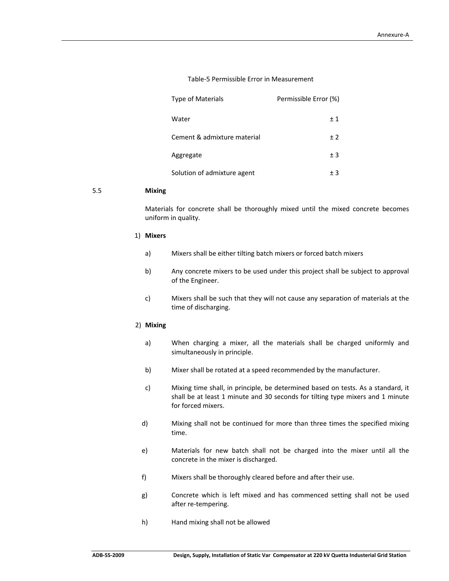## Table‐5 Permissible Error in Measurement

| <b>Type of Materials</b>    | Permissible Error (%) |
|-----------------------------|-----------------------|
| Water                       | ±1                    |
| Cement & admixture material | ± 2                   |
| Aggregate                   | ± 3                   |
| Solution of admixture agent | $+3$                  |

## 5.5 **Mixing**

 Materials for concrete shall be thoroughly mixed until the mixed concrete becomes uniform in quality.

## 1) **Mixers**

- a) Mixers shall be either tilting batch mixers or forced batch mixers
- b) Any concrete mixers to be used under this project shall be subject to approval of the Engineer.
- c) Mixers shall be such that they will not cause any separation of materials at the time of discharging.

#### 2) **Mixing**

- a) When charging a mixer, all the materials shall be charged uniformly and simultaneously in principle.
- b) Mixer shall be rotated at a speed recommended by the manufacturer.
- c) Mixing time shall, in principle, be determined based on tests. As a standard, it shall be at least 1 minute and 30 seconds for tilting type mixers and 1 minute for forced mixers.
- d) Mixing shall not be continued for more than three times the specified mixing time.
- e) Materials for new batch shall not be charged into the mixer until all the concrete in the mixer is discharged.
- f) Mixers shall be thoroughly cleared before and after their use.
- g) Concrete which is left mixed and has commenced setting shall not be used after re‐tempering.
- h) Hand mixing shall not be allowed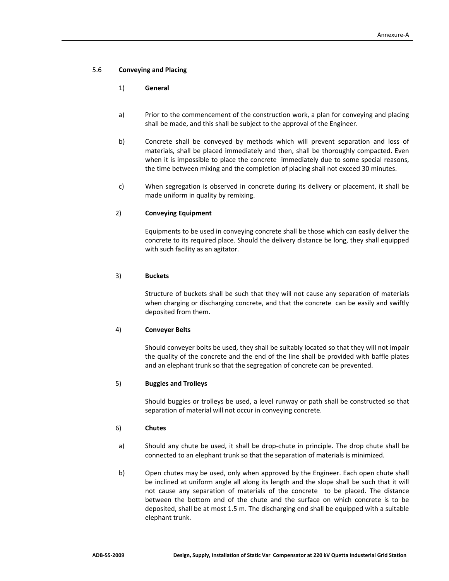## 5.6 **Conveying and Placing**

## 1) **General**

- a) Prior to the commencement of the construction work, a plan for conveying and placing shall be made, and this shall be subject to the approval of the Engineer.
- b) Concrete shall be conveyed by methods which will prevent separation and loss of materials, shall be placed immediately and then, shall be thoroughly compacted. Even when it is impossible to place the concrete immediately due to some special reasons, the time between mixing and the completion of placing shall not exceed 30 minutes.
- c) When segregation is observed in concrete during its delivery or placement, it shall be made uniform in quality by remixing.

## 2) **Conveying Equipment**

 Equipments to be used in conveying concrete shall be those which can easily deliver the concrete to its required place. Should the delivery distance be long, they shall equipped with such facility as an agitator.

## 3) **Buckets**

 Structure of buckets shall be such that they will not cause any separation of materials when charging or discharging concrete, and that the concrete can be easily and swiftly deposited from them.

## 4) **Conveyer Belts**

 Should conveyer bolts be used, they shall be suitably located so that they will not impair the quality of the concrete and the end of the line shall be provided with baffle plates and an elephant trunk so that the segregation of concrete can be prevented.

## 5) **Buggies and Trolleys**

 Should buggies or trolleys be used, a level runway or path shall be constructed so that separation of material will not occur in conveying concrete.

## 6) **Chutes**

- a) Should any chute be used, it shall be drop‐chute in principle. The drop chute shall be connected to an elephant trunk so that the separation of materials is minimized.
- b) Open chutes may be used, only when approved by the Engineer. Each open chute shall be inclined at uniform angle all along its length and the slope shall be such that it will not cause any separation of materials of the concrete to be placed. The distance between the bottom end of the chute and the surface on which concrete is to be deposited, shall be at most 1.5 m. The discharging end shall be equipped with a suitable elephant trunk.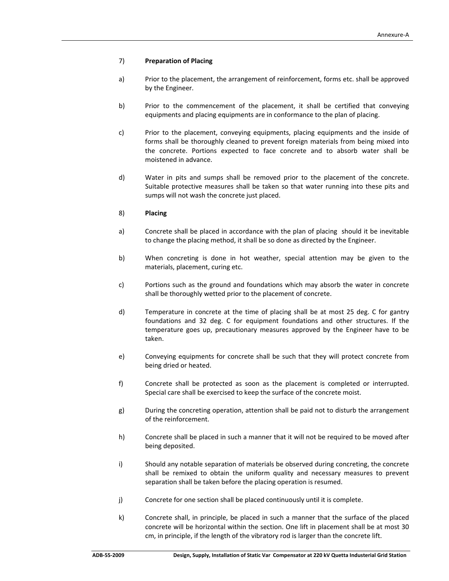## 7) **Preparation of Placing**

- a) Prior to the placement, the arrangement of reinforcement, forms etc. shall be approved by the Engineer.
- b) Prior to the commencement of the placement, it shall be certified that conveying equipments and placing equipments are in conformance to the plan of placing.
- c) Prior to the placement, conveying equipments, placing equipments and the inside of forms shall be thoroughly cleaned to prevent foreign materials from being mixed into the concrete. Portions expected to face concrete and to absorb water shall be moistened in advance.
- d) Water in pits and sumps shall be removed prior to the placement of the concrete. Suitable protective measures shall be taken so that water running into these pits and sumps will not wash the concrete just placed.

## 8) **Placing**

- a) Concrete shall be placed in accordance with the plan of placing should it be inevitable to change the placing method, it shall be so done as directed by the Engineer.
- b) When concreting is done in hot weather, special attention may be given to the materials, placement, curing etc.
- c) Portions such as the ground and foundations which may absorb the water in concrete shall be thoroughly wetted prior to the placement of concrete.
- d) Temperature in concrete at the time of placing shall be at most 25 deg. C for gantry foundations and 32 deg. C for equipment foundations and other structures. If the temperature goes up, precautionary measures approved by the Engineer have to be taken.
- e) Conveying equipments for concrete shall be such that they will protect concrete from being dried or heated.
- f) Concrete shall be protected as soon as the placement is completed or interrupted. Special care shall be exercised to keep the surface of the concrete moist.
- g) During the concreting operation, attention shall be paid not to disturb the arrangement of the reinforcement.
- h) Concrete shall be placed in such a manner that it will not be required to be moved after being deposited.
- i) Should any notable separation of materials be observed during concreting, the concrete shall be remixed to obtain the uniform quality and necessary measures to prevent separation shall be taken before the placing operation is resumed.
- j) Concrete for one section shall be placed continuously until it is complete.
- k) Concrete shall, in principle, be placed in such a manner that the surface of the placed concrete will be horizontal within the section. One lift in placement shall be at most 30 cm, in principle, if the length of the vibratory rod is larger than the concrete lift.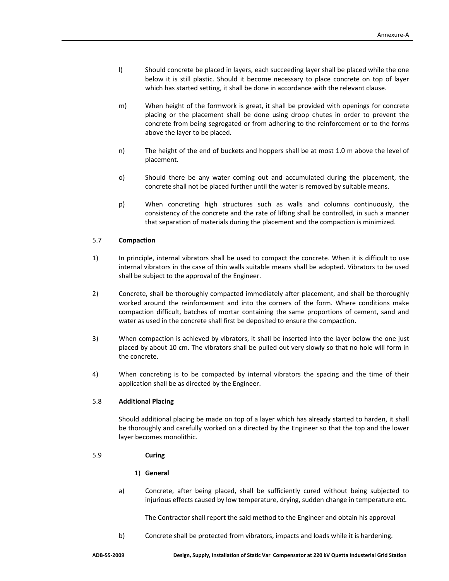- l) Should concrete be placed in layers, each succeeding layer shall be placed while the one below it is still plastic. Should it become necessary to place concrete on top of layer which has started setting, it shall be done in accordance with the relevant clause.
- m) When height of the formwork is great, it shall be provided with openings for concrete placing or the placement shall be done using droop chutes in order to prevent the concrete from being segregated or from adhering to the reinforcement or to the forms above the layer to be placed.
- n) The height of the end of buckets and hoppers shall be at most 1.0 m above the level of placement.
- o) Should there be any water coming out and accumulated during the placement, the concrete shall not be placed further until the water is removed by suitable means.
- p) When concreting high structures such as walls and columns continuously, the consistency of the concrete and the rate of lifting shall be controlled, in such a manner that separation of materials during the placement and the compaction is minimized.

## 5.7 **Compaction**

- 1) In principle, internal vibrators shall be used to compact the concrete. When it is difficult to use internal vibrators in the case of thin walls suitable means shall be adopted. Vibrators to be used shall be subject to the approval of the Engineer.
- 2) Concrete, shall be thoroughly compacted immediately after placement, and shall be thoroughly worked around the reinforcement and into the corners of the form. Where conditions make compaction difficult, batches of mortar containing the same proportions of cement, sand and water as used in the concrete shall first be deposited to ensure the compaction.
- 3) When compaction is achieved by vibrators, it shall be inserted into the layer below the one just placed by about 10 cm. The vibrators shall be pulled out very slowly so that no hole will form in the concrete.
- 4) When concreting is to be compacted by internal vibrators the spacing and the time of their application shall be as directed by the Engineer.

#### 5.8 **Additional Placing**

Should additional placing be made on top of a layer which has already started to harden, it shall be thoroughly and carefully worked on a directed by the Engineer so that the top and the lower layer becomes monolithic.

## 5.9 **Curing**

## 1) **General**

a) Concrete, after being placed, shall be sufficiently cured without being subjected to injurious effects caused by low temperature, drying, sudden change in temperature etc.

The Contractor shall report the said method to the Engineer and obtain his approval

b) Concrete shall be protected from vibrators, impacts and loads while it is hardening.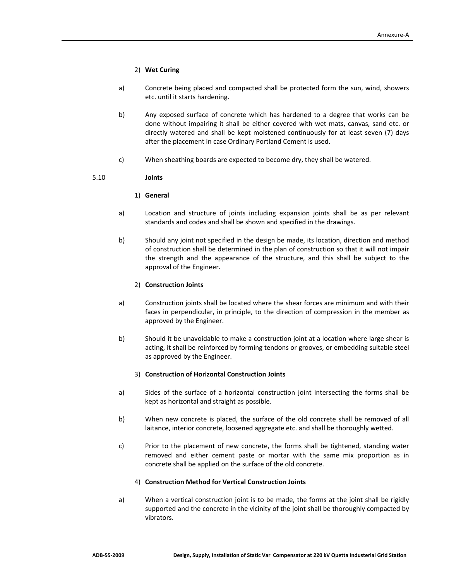## 2) **Wet Curing**

- a) Concrete being placed and compacted shall be protected form the sun, wind, showers etc. until it starts hardening.
- b) Any exposed surface of concrete which has hardened to a degree that works can be done without impairing it shall be either covered with wet mats, canvas, sand etc. or directly watered and shall be kept moistened continuously for at least seven (7) days after the placement in case Ordinary Portland Cement is used.
- c) When sheathing boards are expected to become dry, they shall be watered.

## 5.10 **Joints**

## 1) **General**

- a) Location and structure of joints including expansion joints shall be as per relevant standards and codes and shall be shown and specified in the drawings.
- b) Should any joint not specified in the design be made, its location, direction and method of construction shall be determined in the plan of construction so that it will not impair the strength and the appearance of the structure, and this shall be subject to the approval of the Engineer.

## 2) **Construction Joints**

- a) Construction joints shall be located where the shear forces are minimum and with their faces in perpendicular, in principle, to the direction of compression in the member as approved by the Engineer.
- b) Should it be unavoidable to make a construction joint at a location where large shear is acting, it shall be reinforced by forming tendons or grooves, or embedding suitable steel as approved by the Engineer.

## 3) **Construction of Horizontal Construction Joints**

- a) Sides of the surface of a horizontal construction joint intersecting the forms shall be kept as horizontal and straight as possible.
- b) When new concrete is placed, the surface of the old concrete shall be removed of all laitance, interior concrete, loosened aggregate etc. and shall be thoroughly wetted.
- c) Prior to the placement of new concrete, the forms shall be tightened, standing water removed and either cement paste or mortar with the same mix proportion as in concrete shall be applied on the surface of the old concrete.

## 4) **Construction Method for Vertical Construction Joints**

a) When a vertical construction joint is to be made, the forms at the joint shall be rigidly supported and the concrete in the vicinity of the joint shall be thoroughly compacted by vibrators.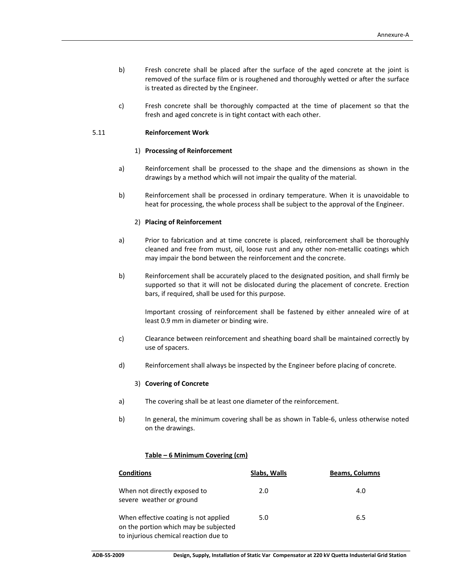- b) Fresh concrete shall be placed after the surface of the aged concrete at the joint is removed of the surface film or is roughened and thoroughly wetted or after the surface is treated as directed by the Engineer.
- c) Fresh concrete shall be thoroughly compacted at the time of placement so that the fresh and aged concrete is in tight contact with each other.

## 5.11 **Reinforcement Work**

## 1) **Processing of Reinforcement**

- a) Reinforcement shall be processed to the shape and the dimensions as shown in the drawings by a method which will not impair the quality of the material.
- b) Reinforcement shall be processed in ordinary temperature. When it is unavoidable to heat for processing, the whole process shall be subject to the approval of the Engineer.

## 2) **Placing of Reinforcement**

- a) Prior to fabrication and at time concrete is placed, reinforcement shall be thoroughly cleaned and free from must, oil, loose rust and any other non-metallic coatings which may impair the bond between the reinforcement and the concrete.
- b) Reinforcement shall be accurately placed to the designated position, and shall firmly be supported so that it will not be dislocated during the placement of concrete. Erection bars, if required, shall be used for this purpose.

Important crossing of reinforcement shall be fastened by either annealed wire of at least 0.9 mm in diameter or binding wire.

- c) Clearance between reinforcement and sheathing board shall be maintained correctly by use of spacers.
- d) Reinforcement shall always be inspected by the Engineer before placing of concrete.

#### 3) **Covering of Concrete**

- a) The covering shall be at least one diameter of the reinforcement.
- b) In general, the minimum covering shall be as shown in Table‐6, unless otherwise noted on the drawings.

## **Table – 6 Minimum Covering (cm)**

| <b>Conditions</b>                                                                                                       | Slabs, Walls | <b>Beams, Columns</b> |
|-------------------------------------------------------------------------------------------------------------------------|--------------|-----------------------|
| When not directly exposed to<br>severe weather or ground                                                                | 2.0          | 4.0                   |
| When effective coating is not applied<br>on the portion which may be subjected<br>to injurious chemical reaction due to | 5.0          | 6.5                   |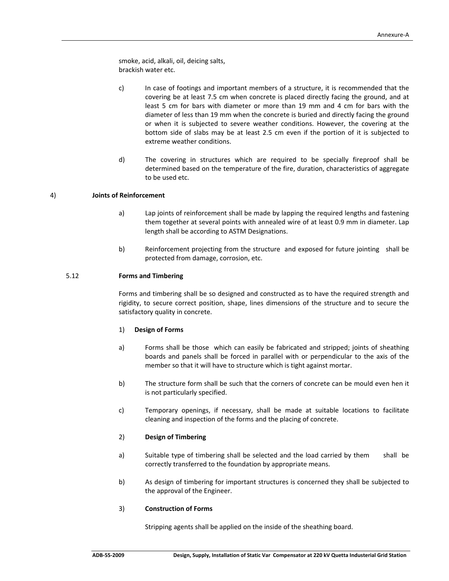smoke, acid, alkali, oil, deicing salts, brackish water etc.

- c) In case of footings and important members of a structure, it is recommended that the covering be at least 7.5 cm when concrete is placed directly facing the ground, and at least 5 cm for bars with diameter or more than 19 mm and 4 cm for bars with the diameter of less than 19 mm when the concrete is buried and directly facing the ground or when it is subjected to severe weather conditions. However, the covering at the bottom side of slabs may be at least 2.5 cm even if the portion of it is subjected to extreme weather conditions.
- d) The covering in structures which are required to be specially fireproof shall be determined based on the temperature of the fire, duration, characteristics of aggregate to be used etc.

## 4) **Joints of Reinforcement**

- a) Lap joints of reinforcement shall be made by lapping the required lengths and fastening them together at several points with annealed wire of at least 0.9 mm in diameter. Lap length shall be according to ASTM Designations.
- b) Reinforcement projecting from the structure and exposed for future jointing shall be protected from damage, corrosion, etc.

## 5.12 **Forms and Timbering**

Forms and timbering shall be so designed and constructed as to have the required strength and rigidity, to secure correct position, shape, lines dimensions of the structure and to secure the satisfactory quality in concrete.

## 1) **Design of Forms**

- a) Forms shall be those which can easily be fabricated and stripped; joints of sheathing boards and panels shall be forced in parallel with or perpendicular to the axis of the member so that it will have to structure which is tight against mortar.
- b) The structure form shall be such that the corners of concrete can be mould even hen it is not particularly specified.
- c) Temporary openings, if necessary, shall be made at suitable locations to facilitate cleaning and inspection of the forms and the placing of concrete.

## 2) **Design of Timbering**

- a) Suitable type of timbering shall be selected and the load carried by them shall be correctly transferred to the foundation by appropriate means.
- b) As design of timbering for important structures is concerned they shall be subjected to the approval of the Engineer.

#### 3) **Construction of Forms**

Stripping agents shall be applied on the inside of the sheathing board.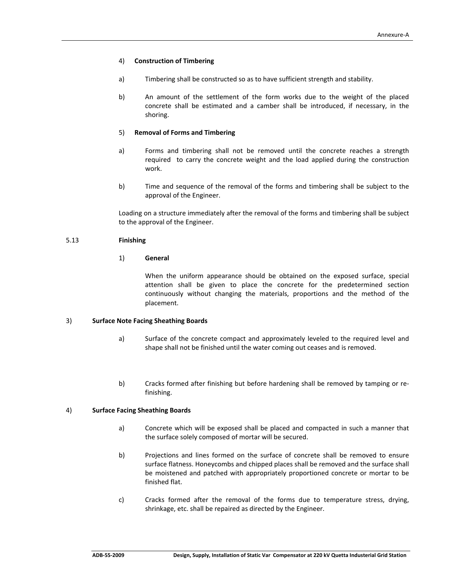### 4) **Construction of Timbering**

- a) Timbering shall be constructed so as to have sufficient strength and stability.
- b) An amount of the settlement of the form works due to the weight of the placed concrete shall be estimated and a camber shall be introduced, if necessary, in the shoring.

## 5) **Removal of Forms and Timbering**

- a) Forms and timbering shall not be removed until the concrete reaches a strength required to carry the concrete weight and the load applied during the construction work.
- b) Time and sequence of the removal of the forms and timbering shall be subject to the approval of the Engineer.

Loading on a structure immediately after the removal of the forms and timbering shall be subject to the approval of the Engineer.

## 5.13 **Finishing**

## 1) **General**

 When the uniform appearance should be obtained on the exposed surface, special attention shall be given to place the concrete for the predetermined section continuously without changing the materials, proportions and the method of the placement.

## 3) **Surface Note Facing Sheathing Boards**

- a) Surface of the concrete compact and approximately leveled to the required level and shape shall not be finished until the water coming out ceases and is removed.
- b) Cracks formed after finishing but before hardening shall be removed by tamping or refinishing.

## 4) **Surface Facing Sheathing Boards**

- a) Concrete which will be exposed shall be placed and compacted in such a manner that the surface solely composed of mortar will be secured.
- b) Projections and lines formed on the surface of concrete shall be removed to ensure surface flatness. Honeycombs and chipped places shall be removed and the surface shall be moistened and patched with appropriately proportioned concrete or mortar to be finished flat.
- c) Cracks formed after the removal of the forms due to temperature stress, drying, shrinkage, etc. shall be repaired as directed by the Engineer.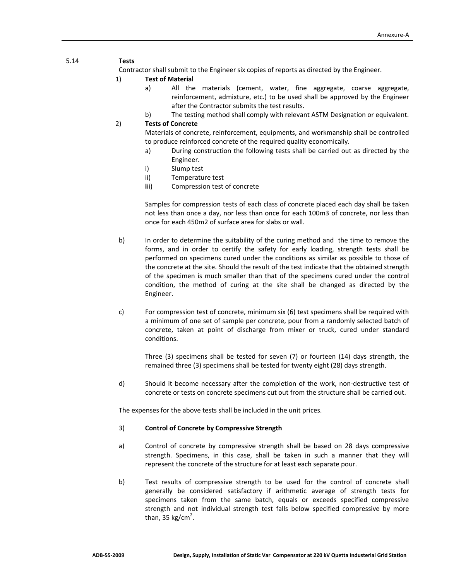## 5.14 **Tests**

Contractor shall submit to the Engineer six copies of reports as directed by the Engineer.

## 1) **Test of Material**

- a) All the materials (cement, water, fine aggregate, coarse aggregate, reinforcement, admixture, etc.) to be used shall be approved by the Engineer after the Contractor submits the test results.
- b) The testing method shall comply with relevant ASTM Designation or equivalent.

## 2) **Tests of Concrete**

 Materials of concrete, reinforcement, equipments, and workmanship shall be controlled to produce reinforced concrete of the required quality economically.

- a) During construction the following tests shall be carried out as directed by the Engineer.
- i) Slump test
- ii) Temperature test
- **iii)** Compression test of concrete

Samples for compression tests of each class of concrete placed each day shall be taken not less than once a day, nor less than once for each 100m3 of concrete, nor less than once for each 450m2 of surface area for slabs or wall.

- b) In order to determine the suitability of the curing method and the time to remove the forms, and in order to certify the safety for early loading, strength tests shall be performed on specimens cured under the conditions as similar as possible to those of the concrete at the site. Should the result of the test indicate that the obtained strength of the specimen is much smaller than that of the specimens cured under the control condition, the method of curing at the site shall be changed as directed by the Engineer.
- c) For compression test of concrete, minimum six (6) test specimens shall be required with a minimum of one set of sample per concrete, pour from a randomly selected batch of concrete, taken at point of discharge from mixer or truck, cured under standard conditions.

Three (3) specimens shall be tested for seven (7) or fourteen (14) days strength, the remained three (3) specimens shall be tested for twenty eight (28) days strength.

d) Should it become necessary after the completion of the work, non‐destructive test of concrete or tests on concrete specimens cut out from the structure shall be carried out.

The expenses for the above tests shall be included in the unit prices.

## 3) **Control of Concrete by Compressive Strength**

- a) Control of concrete by compressive strength shall be based on 28 days compressive strength. Specimens, in this case, shall be taken in such a manner that they will represent the concrete of the structure for at least each separate pour.
- b) Test results of compressive strength to be used for the control of concrete shall generally be considered satisfactory if arithmetic average of strength tests for specimens taken from the same batch, equals or exceeds specified compressive strength and not individual strength test falls below specified compressive by more than, 35 kg/cm<sup>2</sup>.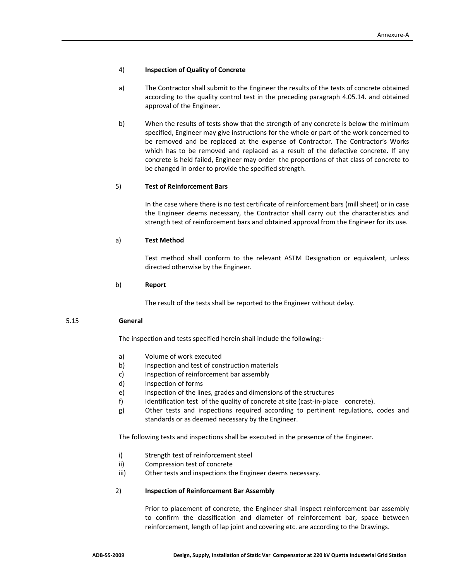## 4) **Inspection of Quality of Concrete**

- a) The Contractor shall submit to the Engineer the results of the tests of concrete obtained according to the quality control test in the preceding paragraph 4.05.14. and obtained approval of the Engineer.
- b) When the results of tests show that the strength of any concrete is below the minimum specified, Engineer may give instructions for the whole or part of the work concerned to be removed and be replaced at the expense of Contractor. The Contractor's Works which has to be removed and replaced as a result of the defective concrete. If any concrete is held failed, Engineer may order the proportions of that class of concrete to be changed in order to provide the specified strength.

## 5) **Test of Reinforcement Bars**

 In the case where there is no test certificate of reinforcement bars (mill sheet) or in case the Engineer deems necessary, the Contractor shall carry out the characteristics and strength test of reinforcement bars and obtained approval from the Engineer for its use.

## a) **Test Method**

 Test method shall conform to the relevant ASTM Designation or equivalent, unless directed otherwise by the Engineer.

## b) **Report**

The result of the tests shall be reported to the Engineer without delay.

#### 5.15 **General**

The inspection and tests specified herein shall include the following:‐

- a) Volume of work executed
- b) Inspection and test of construction materials
- c) Inspection of reinforcement bar assembly
- d) Inspection of forms
- e) Inspection of the lines, grades and dimensions of the structures
- f) Identification test of the quality of concrete at site (cast-in-place concrete).
- g) Other tests and inspections required according to pertinent regulations, codes and standards or as deemed necessary by the Engineer.

The following tests and inspections shall be executed in the presence of the Engineer.

- i) Strength test of reinforcement steel
- ii) Compression test of concrete
- iii) Other tests and inspections the Engineer deems necessary.

#### 2) **Inspection of Reinforcement Bar Assembly**

 Prior to placement of concrete, the Engineer shall inspect reinforcement bar assembly to confirm the classification and diameter of reinforcement bar, space between reinforcement, length of lap joint and covering etc. are according to the Drawings.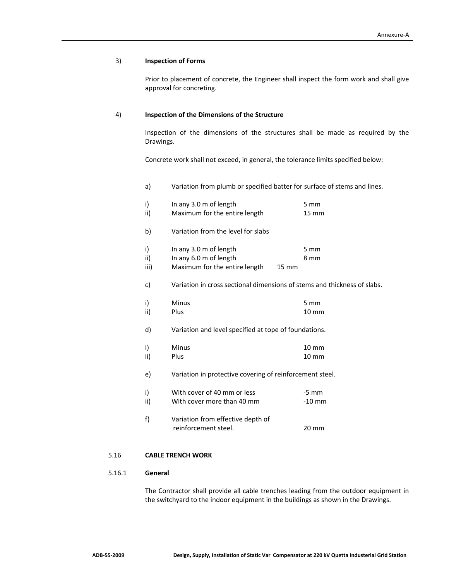#### 3) **Inspection of Forms**

 Prior to placement of concrete, the Engineer shall inspect the form work and shall give approval for concreting.

## 4) **Inspection of the Dimensions of the Structure**

 Inspection of the dimensions of the structures shall be made as required by the Drawings.

Concrete work shall not exceed, in general, the tolerance limits specified below:

a) Variation from plumb or specified batter for surface of stems and lines.

| i)<br>ii)         | In any 3.0 m of length<br>Maximum for the entire length                                                | $5 \, \text{mm}$<br>$15 \, \text{mm}$ |
|-------------------|--------------------------------------------------------------------------------------------------------|---------------------------------------|
| b)                | Variation from the level for slabs                                                                     |                                       |
| i)<br>ii)<br>iii) | In any 3.0 m of length<br>In any 6.0 m of length<br>Maximum for the entire length<br>$15 \, \text{mm}$ | $5 \, \text{mm}$<br>8 mm              |
| c)                | Variation in cross sectional dimensions of stems and thickness of slabs.                               |                                       |
| i)<br>ii)         | <b>Minus</b><br>Plus                                                                                   | $5 \, \text{mm}$<br>$10 \text{ mm}$   |
| d)                | Variation and level specified at tope of foundations.                                                  |                                       |
| i)<br>ii)         | <b>Minus</b><br>Plus                                                                                   | $10 \text{ mm}$<br>$10 \, \text{mm}$  |
| e)                | Variation in protective covering of reinforcement steel.                                               |                                       |
| i)<br>ii)         | With cover of 40 mm or less<br>With cover more than 40 mm                                              | $-5$ mm<br>$-10$ mm                   |
| f)                | Variation from effective depth of<br>reinforcement steel.                                              | $20 \, \text{mm}$                     |
|                   |                                                                                                        |                                       |

## 5.16 **CABLE TRENCH WORK**

## 5.16.1 **General**

 The Contractor shall provide all cable trenches leading from the outdoor equipment in the switchyard to the indoor equipment in the buildings as shown in the Drawings.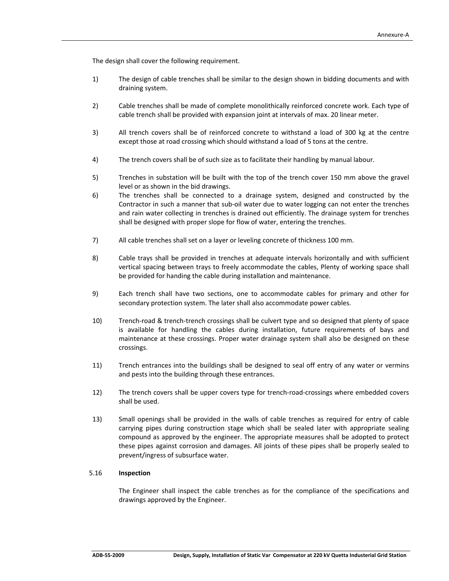The design shall cover the following requirement.

- 1) The design of cable trenches shall be similar to the design shown in bidding documents and with draining system.
- 2) Cable trenches shall be made of complete monolithically reinforced concrete work. Each type of cable trench shall be provided with expansion joint at intervals of max. 20 linear meter.
- 3) All trench covers shall be of reinforced concrete to withstand a load of 300 kg at the centre except those at road crossing which should withstand a load of 5 tons at the centre.
- 4) The trench covers shall be of such size as to facilitate their handling by manual labour.
- 5) Trenches in substation will be built with the top of the trench cover 150 mm above the gravel level or as shown in the bid drawings.
- 6) The trenches shall be connected to a drainage system, designed and constructed by the Contractor in such a manner that sub‐oil water due to water logging can not enter the trenches and rain water collecting in trenches is drained out efficiently. The drainage system for trenches shall be designed with proper slope for flow of water, entering the trenches.
- 7) All cable trenches shall set on a layer or leveling concrete of thickness 100 mm.
- 8) Cable trays shall be provided in trenches at adequate intervals horizontally and with sufficient vertical spacing between trays to freely accommodate the cables, Plenty of working space shall be provided for handing the cable during installation and maintenance.
- 9) Each trench shall have two sections, one to accommodate cables for primary and other for secondary protection system. The later shall also accommodate power cables.
- 10) Trench‐road & trench‐trench crossings shall be culvert type and so designed that plenty of space is available for handling the cables during installation, future requirements of bays and maintenance at these crossings. Proper water drainage system shall also be designed on these crossings.
- 11) Trench entrances into the buildings shall be designed to seal off entry of any water or vermins and pests into the building through these entrances.
- 12) The trench covers shall be upper covers type for trench-road-crossings where embedded covers shall be used.
- 13) Small openings shall be provided in the walls of cable trenches as required for entry of cable carrying pipes during construction stage which shall be sealed later with appropriate sealing compound as approved by the engineer. The appropriate measures shall be adopted to protect these pipes against corrosion and damages. All joints of these pipes shall be properly sealed to prevent/ingress of subsurface water.

## 5.16 **Inspection**

The Engineer shall inspect the cable trenches as for the compliance of the specifications and drawings approved by the Engineer.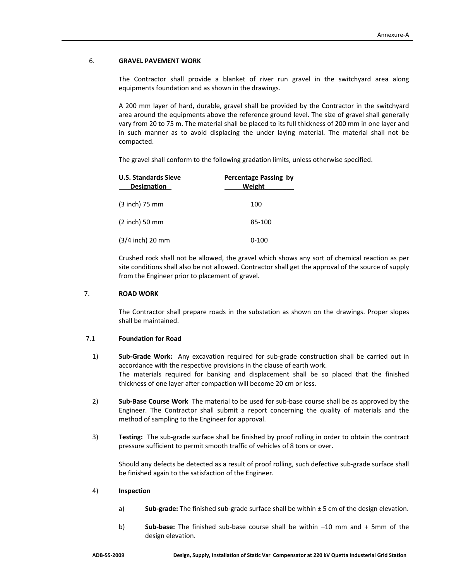#### 6. **GRAVEL PAVEMENT WORK**

The Contractor shall provide a blanket of river run gravel in the switchyard area along equipments foundation and as shown in the drawings.

A 200 mm layer of hard, durable, gravel shall be provided by the Contractor in the switchyard area around the equipments above the reference ground level. The size of gravel shall generally vary from 20 to 75 m. The material shall be placed to its full thickness of 200 mm in one layer and in such manner as to avoid displacing the under laying material. The material shall not be compacted.

The gravel shall conform to the following gradation limits, unless otherwise specified.

| <b>U.S. Standards Sieve</b><br><b>Designation</b> | Percentage Passing by<br>Weight |
|---------------------------------------------------|---------------------------------|
| $(3$ inch) 75 mm                                  | 100                             |
| $(2$ inch) 50 mm                                  | 85-100                          |
| $(3/4$ inch) 20 mm                                | $0 - 100$                       |

Crushed rock shall not be allowed, the gravel which shows any sort of chemical reaction as per site conditions shall also be not allowed. Contractor shall get the approval of the source of supply from the Engineer prior to placement of gravel.

#### 7. **ROAD WORK**

The Contractor shall prepare roads in the substation as shown on the drawings. Proper slopes shall be maintained.

## 7.1 **Foundation for Road**

- 1) **Sub-Grade Work:** Any excavation required for sub-grade construction shall be carried out in accordance with the respective provisions in the clause of earth work. The materials required for banking and displacement shall be so placed that the finished thickness of one layer after compaction will become 20 cm or less.
- 2) **Sub‐Base Course Work** The material to be used for sub‐base course shall be as approved by the Engineer. The Contractor shall submit a report concerning the quality of materials and the method of sampling to the Engineer for approval.
- 3) **Testing:** The sub‐grade surface shall be finished by proof rolling in order to obtain the contract pressure sufficient to permit smooth traffic of vehicles of 8 tons or over.

Should any defects be detected as a result of proof rolling, such defective sub‐grade surface shall be finished again to the satisfaction of the Engineer.

#### 4) **Inspection**

- a) **Sub-grade:** The finished sub-grade surface shall be within ± 5 cm of the design elevation.
- b) **Sub‐base:** The finished sub‐base course shall be within –10 mm and + 5mm of the design elevation.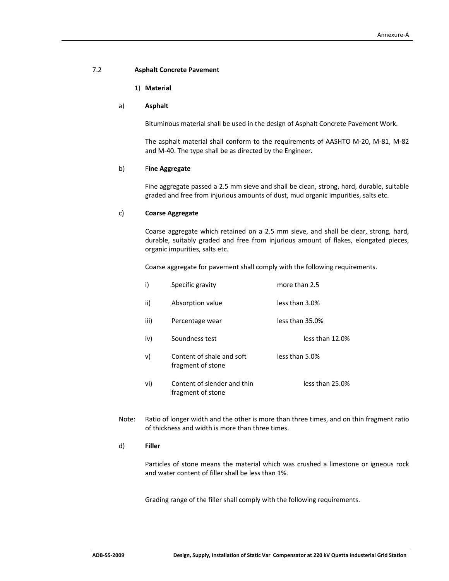#### 7.2 **Asphalt Concrete Pavement**

## 1) **Material**

#### a) **Asphalt**

Bituminous material shall be used in the design of Asphalt Concrete Pavement Work.

The asphalt material shall conform to the requirements of AASHTO M‐20, M‐81, M‐82 and M‐40. The type shall be as directed by the Engineer.

#### b) F**ine Aggregate**

Fine aggregate passed a 2.5 mm sieve and shall be clean, strong, hard, durable, suitable graded and free from injurious amounts of dust, mud organic impurities, salts etc.

#### c) **Coarse Aggregate**

Coarse aggregate which retained on a 2.5 mm sieve, and shall be clear, strong, hard, durable, suitably graded and free from injurious amount of flakes, elongated pieces, organic impurities, salts etc.

Coarse aggregate for pavement shall comply with the following requirements.

| i)   | Specific gravity                                 | more than 2.5   |
|------|--------------------------------------------------|-----------------|
| ii)  | Absorption value                                 | less than 3.0%  |
| iii) | Percentage wear                                  | less than 35.0% |
| iv)  | Soundness test                                   | less than 12.0% |
| v)   | Content of shale and soft<br>fragment of stone   | less than 5.0%  |
| vi)  | Content of slender and thin<br>fragment of stone | less than 25.0% |

Note: Ratio of longer width and the other is more than three times, and on thin fragment ratio of thickness and width is more than three times.

#### d) **Filler**

Particles of stone means the material which was crushed a limestone or igneous rock and water content of filler shall be less than 1%.

Grading range of the filler shall comply with the following requirements.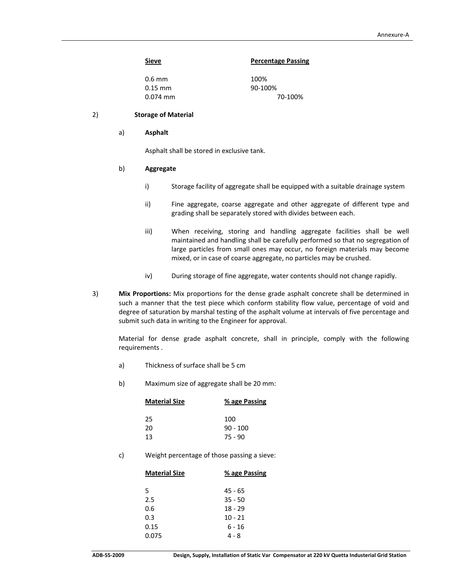#### **Sieve Percentage Passing**

| 0.6 mm     | 100%    |
|------------|---------|
| $0.15$ mm  | 90-100% |
| $0.074$ mm | 70-100% |

#### 2) **Storage of Material**

#### a) **Asphalt**

Asphalt shall be stored in exclusive tank.

## b) **Aggregate**

- i) Storage facility of aggregate shall be equipped with a suitable drainage system
- ii) Fine aggregate, coarse aggregate and other aggregate of different type and grading shall be separately stored with divides between each.
- iii) When receiving, storing and handling aggregate facilities shall be well maintained and handling shall be carefully performed so that no segregation of large particles from small ones may occur, no foreign materials may become mixed, or in case of coarse aggregate, no particles may be crushed.
- iv) During storage of fine aggregate, water contents should not change rapidly.
- 3) **Mix Proportions:** Mix proportions for the dense grade asphalt concrete shall be determined in such a manner that the test piece which conform stability flow value, percentage of void and degree of saturation by marshal testing of the asphalt volume at intervals of five percentage and submit such data in writing to the Engineer for approval.

Material for dense grade asphalt concrete, shall in principle, comply with the following requirements .

- a) Thickness of surface shall be 5 cm
- b) Maximum size of aggregate shall be 20 mm:

| <b>Material Size</b> | % age Passing |  |
|----------------------|---------------|--|
| 25                   | 100           |  |
| 20                   | $90 - 100$    |  |
| 13                   | $75 - 90$     |  |

c) Weight percentage of those passing a sieve:

| <b>Material Size</b> | % age Passing |
|----------------------|---------------|
| 5                    | 45 - 65       |
| 2.5                  | $35 - 50$     |
| 0.6                  | $18 - 29$     |
| 0.3                  | $10 - 21$     |
| 0.15                 | 6 - 16        |
| 0.075                | 4 - 8         |
|                      |               |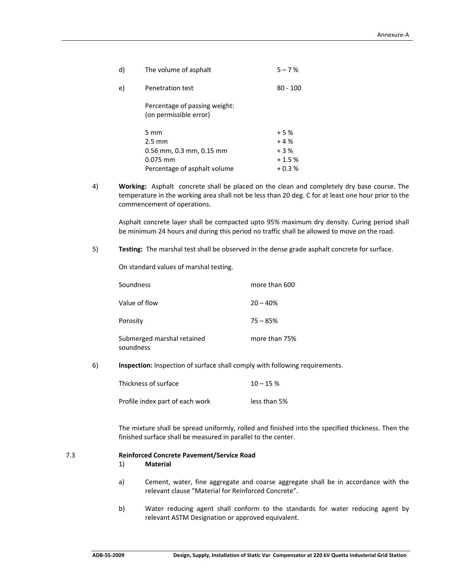| d) | The volume of asphalt                                   | $5 - 7%$   |
|----|---------------------------------------------------------|------------|
| e) | Penetration test                                        | $80 - 100$ |
|    | Percentage of passing weight:<br>(on permissible error) |            |
|    | $5 \text{ mm}$                                          | $+5%$      |
|    | $2.5 \text{ mm}$                                        | $+4%$      |
|    | $0.56$ mm, $0.3$ mm, $0.15$ mm                          | $+3%$      |
|    | $0.075$ mm                                              | $+1.5%$    |
|    | Percentage of asphalt volume                            | $+0.3%$    |
|    |                                                         |            |

4) **Working:** Asphalt concrete shall be placed on the clean and completely dry base course. The temperature in the working area shall not be less than 20 deg. C for at least one hour prior to the commencement of operations.

Asphalt concrete layer shall be compacted upto 95% maximum dry density. Curing period shall be minimum 24 hours and during this period no traffic shall be allowed to move on the road.

5) **Testing:** The marshal test shall be observed in the dense grade asphalt concrete for surface.

On standard values of marshal testing.

| Soundness                               | more than 600 |
|-----------------------------------------|---------------|
| Value of flow                           | $20 - 40%$    |
| Porositv                                | $75 - 85%$    |
| Submerged marshal retained<br>soundness | more than 75% |

6) **Inspection:** Inspection of surface shall comply with following requirements.

| Thickness of surface            | $10 - 15%$   |
|---------------------------------|--------------|
| Profile index part of each work | less than 5% |

The mixture shall be spread uniformly, rolled and finished into the specified thickness. Then the finished surface shall be measured in parallel to the center.

#### 7.3 **Reinforced Concrete Pavement/Service Road**

#### 1) **Material**

- a) Cement, water, fine aggregate and coarse aggregate shall be in accordance with the relevant clause "Material for Reinforced Concrete".
- b) Water reducing agent shall conform to the standards for water reducing agent by relevant ASTM Designation or approved equivalent.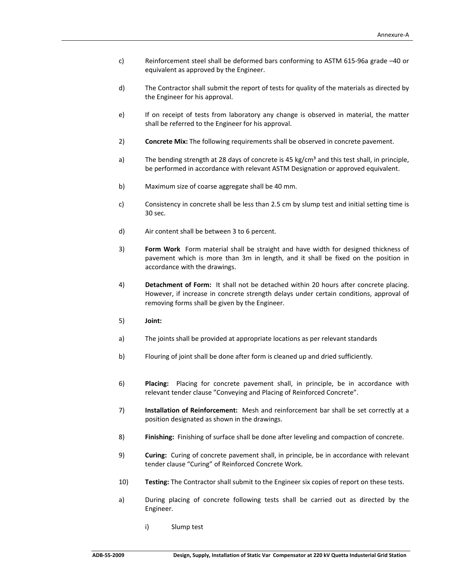- c) Reinforcement steel shall be deformed bars conforming to ASTM 615‐96a grade –40 or equivalent as approved by the Engineer.
- d) The Contractor shall submit the report of tests for quality of the materials as directed by the Engineer for his approval.
- e) If on receipt of tests from laboratory any change is observed in material, the matter shall be referred to the Engineer for his approval.
- 2) **Concrete Mix:** The following requirements shall be observed in concrete pavement.
- a) The bending strength at 28 days of concrete is 45 kg/cm<sup>3</sup> and this test shall, in principle, be performed in accordance with relevant ASTM Designation or approved equivalent.
- b) Maximum size of coarse aggregate shall be 40 mm.
- c) Consistency in concrete shall be less than 2.5 cm by slump test and initial setting time is 30 sec.
- d) Air content shall be between 3 to 6 percent.
- 3) **Form Work** Form material shall be straight and have width for designed thickness of pavement which is more than 3m in length, and it shall be fixed on the position in accordance with the drawings.
- 4) **Detachment of Form:** It shall not be detached within 20 hours after concrete placing. However, if increase in concrete strength delays under certain conditions, approval of removing forms shall be given by the Engineer.
- 5) **Joint:**
- a) The joints shall be provided at appropriate locations as per relevant standards
- b) Flouring of joint shall be done after form is cleaned up and dried sufficiently.
- 6) **Placing:** Placing for concrete pavement shall, in principle, be in accordance with relevant tender clause "Conveying and Placing of Reinforced Concrete".
- 7) **Installation of Reinforcement:** Mesh and reinforcement bar shall be set correctly at a position designated as shown in the drawings.
- 8) **Finishing:** Finishing of surface shall be done after leveling and compaction of concrete.
- 9) **Curing:** Curing of concrete pavement shall, in principle, be in accordance with relevant tender clause "Curing" of Reinforced Concrete Work.
- 10) **Testing:** The Contractor shall submit to the Engineer six copies of report on these tests.
- a) During placing of concrete following tests shall be carried out as directed by the Engineer.
	- i) Slump test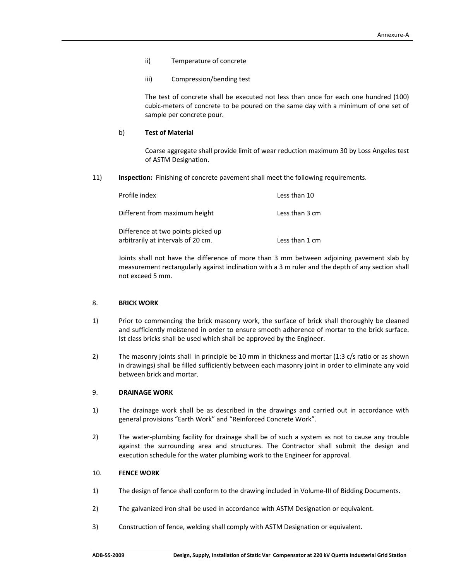- ii) Temperature of concrete
- iii) Compression/bending test

The test of concrete shall be executed not less than once for each one hundred (100) cubic‐meters of concrete to be poured on the same day with a minimum of one set of sample per concrete pour.

## b) **Test of Material**

Coarse aggregate shall provide limit of wear reduction maximum 30 by Loss Angeles test of ASTM Designation.

11) **Inspection:** Finishing of concrete pavement shall meet the following requirements.

| Profile index                                                            | Less than 10   |
|--------------------------------------------------------------------------|----------------|
| Different from maximum height                                            | Less than 3 cm |
| Difference at two points picked up<br>arbitrarily at intervals of 20 cm. | Less than 1 cm |

Joints shall not have the difference of more than 3 mm between adjoining pavement slab by measurement rectangularly against inclination with a 3 m ruler and the depth of any section shall not exceed 5 mm.

#### 8. **BRICK WORK**

- 1) Prior to commencing the brick masonry work, the surface of brick shall thoroughly be cleaned and sufficiently moistened in order to ensure smooth adherence of mortar to the brick surface. Ist class bricks shall be used which shall be approved by the Engineer.
- 2) The masonry joints shall in principle be 10 mm in thickness and mortar (1:3 c/s ratio or as shown in drawings) shall be filled sufficiently between each masonry joint in order to eliminate any void between brick and mortar.

## 9. **DRAINAGE WORK**

- 1) The drainage work shall be as described in the drawings and carried out in accordance with general provisions "Earth Work" and "Reinforced Concrete Work".
- 2) The water-plumbing facility for drainage shall be of such a system as not to cause any trouble against the surrounding area and structures. The Contractor shall submit the design and execution schedule for the water plumbing work to the Engineer for approval.

## 10. **FENCE WORK**

- 1) The design of fence shall conform to the drawing included in Volume-III of Bidding Documents.
- 2) The galvanized iron shall be used in accordance with ASTM Designation or equivalent.
- 3) Construction of fence, welding shall comply with ASTM Designation or equivalent.